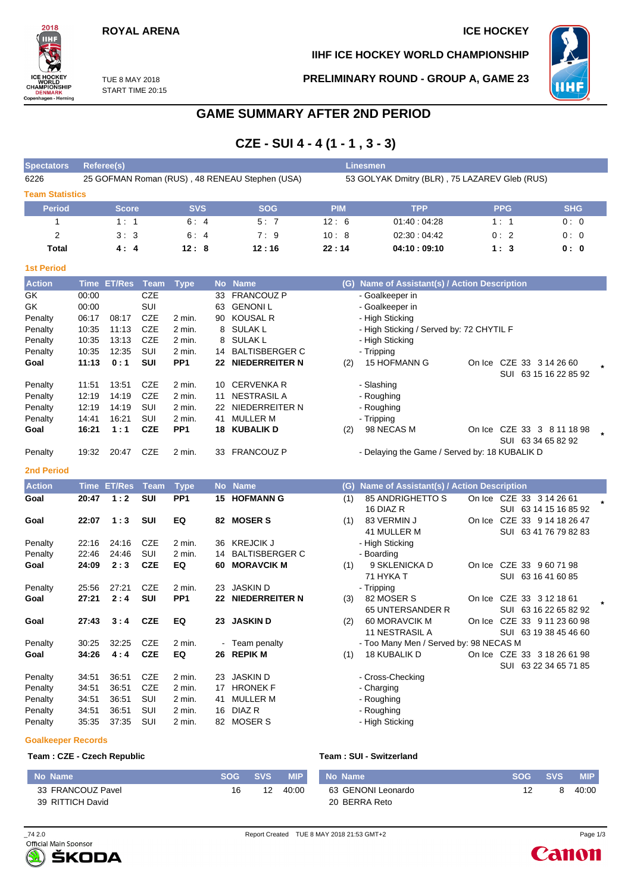# **ROYAL ARENA ICE HOCKEY**

**IIHF ICE HOCKEY WORLD CHAMPIONSHIP**

**PRELIMINARY ROUND - GROUP A, GAME 23**



TUE 8 MAY 2018 START TIME 20:15

# **GAME SUMMARY AFTER 2ND PERIOD**

# **CZE - SUI 4 - 4 (1 - 1 , 3 - 3)**

| <b>Spectators</b> | Referee(s)                                     |            |            | <b>Linesmen</b>                               |             |            |            |  |  |  |  |  |  |  |
|-------------------|------------------------------------------------|------------|------------|-----------------------------------------------|-------------|------------|------------|--|--|--|--|--|--|--|
| 6226              | 25 GOFMAN Roman (RUS), 48 RENEAU Stephen (USA) |            |            | 53 GOLYAK Dmitry (BLR), 75 LAZAREV Gleb (RUS) |             |            |            |  |  |  |  |  |  |  |
|                   | <b>Team Statistics</b>                         |            |            |                                               |             |            |            |  |  |  |  |  |  |  |
| <b>Period</b>     | <b>Score</b>                                   | <b>SVS</b> | <b>SOG</b> | <b>PIM</b>                                    | <b>TPP</b>  | <b>PPG</b> | <b>SHG</b> |  |  |  |  |  |  |  |
|                   | 1: 1                                           | 6:4        | 5:7        | 12:6                                          | 01:40:04:28 | 1:1        | 0:0        |  |  |  |  |  |  |  |
|                   | 3:3                                            | 6:4        | 7:9        | 10:8                                          | 02:30:04:42 | 0:2        | 0:0        |  |  |  |  |  |  |  |
| Total             | 4:4                                            | 12:8       | 12:16      | 22:14                                         | 04:10:09:10 | 1:3        | 0:0        |  |  |  |  |  |  |  |

#### **1st Period**

2018

ICE HO WORLD<br>CHAMPIONSHIP<br>CHAMPIONSHIP<br>Copenhagen - Herning

| <b>Action</b> | Time  | <b>ET/Res</b> | Team       | <b>Type</b>     |     | No Name               | (G) | Name of Assistant(s) / Action Description     |        |        |                                       |  |
|---------------|-------|---------------|------------|-----------------|-----|-----------------------|-----|-----------------------------------------------|--------|--------|---------------------------------------|--|
| GK            | 00:00 |               | <b>CZE</b> |                 | 33  | <b>FRANCOUZ P</b>     |     | - Goalkeeper in                               |        |        |                                       |  |
| GK            | 00:00 |               | SUI        |                 | 63  | <b>GENONIL</b>        |     | - Goalkeeper in                               |        |        |                                       |  |
| Penalty       | 06:17 | 08:17         | <b>CZE</b> | 2 min.          | 90  | KOUSAL R              |     | - High Sticking                               |        |        |                                       |  |
| Penalty       | 10:35 | 11:13         | <b>CZE</b> | $2$ min.        |     | 8 SULAK L             |     | - High Sticking / Served by: 72 CHYTIL F      |        |        |                                       |  |
| Penalty       | 10:35 | 13:13         | <b>CZE</b> | $2$ min.        |     | 8 SULAK L             |     | - High Sticking                               |        |        |                                       |  |
| Penalty       | 10:35 | 12:35         | SUI        | $2$ min.        | 14  | <b>BALTISBERGER C</b> |     | - Tripping                                    |        |        |                                       |  |
| Goal          | 11:13 | 0:1           | <b>SUI</b> | PP <sub>1</sub> | 22  | NIEDERREITER N        | (2) | <b>15 HOFMANN G</b>                           | On Ice |        | CZE 33 3 14 26 60                     |  |
|               |       |               |            |                 |     |                       |     |                                               |        |        | SUI 63 15 16 22 85 92                 |  |
| Penalty       | 11:51 | 13:51         | <b>CZE</b> | $2$ min.        | 10. | <b>CERVENKA R</b>     |     | - Slashing                                    |        |        |                                       |  |
| Penalty       | 12:19 | 14:19         | <b>CZE</b> | $2$ min.        | 11  | NESTRASIL A           |     | - Roughing                                    |        |        |                                       |  |
| Penalty       | 12:19 | 14:19         | SUI        | $2$ min.        | 22  | NIEDERREITER N        |     | - Roughing                                    |        |        |                                       |  |
| Penalty       | 14:41 | 16:21         | SUI        | $2$ min.        | 41  | MULLER M              |     | - Tripping                                    |        |        |                                       |  |
| Goal          | 16:21 | 1:1           | <b>CZE</b> | PP1             | 18  | <b>KUBALIK D</b>      | (2) | 98 NECAS M                                    | On Ice | CZE 33 | 3<br>8 11 18 98<br>SUI 63 34 65 82 92 |  |
| Penalty       | 19:32 | 20:47         | <b>CZE</b> | 2 min.          | 33  | <b>FRANCOUZ P</b>     |     | - Delaying the Game / Served by: 18 KUBALIK D |        |        |                                       |  |
|               |       |               |            |                 |     |                       |     |                                               |        |        |                                       |  |

### **2nd Period**

| <b>Action</b> | Time  | <b>ET/Res</b> | Team       | <b>Type</b>     | <b>No</b> | <b>Name</b>           | (G) | Name of Assistant(s) / Action Description |        |                             |  |
|---------------|-------|---------------|------------|-----------------|-----------|-----------------------|-----|-------------------------------------------|--------|-----------------------------|--|
| Goal          | 20:47 | 1:2           | SUI        | PP <sub>1</sub> | 15        | <b>HOFMANN G</b>      | (1) | 85 ANDRIGHETTO S                          |        | On Ice CZE 33 3 14 26 61    |  |
|               |       |               |            |                 |           |                       |     | 16 DIAZ R                                 |        | SUI 63 14 15 16 85 92       |  |
| Goal          | 22:07 | 1:3           | SUI        | EQ              |           | 82 MOSER S            | (1) | 83 VERMIN J                               | On Ice | CZE 33 9 14 18 26 47        |  |
|               |       |               |            |                 |           |                       |     | 41 MULLER M                               |        | SUI 63 41 76 79 82 83       |  |
| Penalty       | 22:16 | 24:16         | CZE        | 2 min.          |           | 36 KREJCIK J          |     | - High Sticking                           |        |                             |  |
| Penalty       | 22:46 | 24:46         | SUI        | 2 min.          | 14        | <b>BALTISBERGER C</b> |     | - Boarding                                |        |                             |  |
| Goal          | 24:09 | 2:3           | <b>CZE</b> | EQ              | 60        | <b>MORAVCIK M</b>     | (1) | 9 SKLENICKA D                             |        | On Ice CZE 33 9 60 71 98    |  |
|               |       |               |            |                 |           |                       |     | 71 HYKA T                                 |        | SUI 63 16 41 60 85          |  |
| Penalty       | 25:56 | 27:21         | CZE        | 2 min.          |           | 23 JASKIN D           |     | - Tripping                                |        |                             |  |
| Goal          | 27:21 | 2:4           | <b>SUI</b> | PP <sub>1</sub> | 22        | NIEDERREITER N        | (3) | 82 MOSER S                                |        | On Ice CZE 33 3 12 18 61    |  |
|               |       |               |            |                 |           |                       |     | 65 UNTERSANDER R                          |        | SUI 63 16 22 65 82 92       |  |
| Goal          | 27:43 | 3:4           | <b>CZE</b> | EQ              | 23        | <b>JASKIND</b>        | (2) | 60 MORAVCIK M                             | On Ice | CZE 33 9 11 23 60 98        |  |
|               |       |               |            |                 |           |                       |     | 11 NESTRASIL A                            |        | SUI 63 19 38 45 46 60       |  |
| Penalty       | 30:25 | 32:25         | CZE        | 2 min.          |           | - Team penalty        |     | - Too Many Men / Served by: 98 NECAS M    |        |                             |  |
| Goal          | 34:26 | 4:4           | <b>CZE</b> | EQ              |           | 26 REPIK M            | (1) | 18 KUBALIK D                              |        | On Ice CZE 33 3 18 26 61 98 |  |
|               |       |               |            |                 |           |                       |     |                                           |        | SUI 63 22 34 65 71 85       |  |
| Penalty       | 34:51 | 36.51         | CZE        | 2 min.          | 23        | JASKIN D              |     | - Cross-Checking                          |        |                             |  |
| Penalty       | 34:51 | 36.51         | <b>CZE</b> | 2 min.          | 17        | <b>HRONEK F</b>       |     | - Charging                                |        |                             |  |
| Penalty       | 34:51 | 36.51         | SUI        | 2 min.          | 41        | MULLER M              |     | - Roughing                                |        |                             |  |
| Penalty       | 34:51 | 36.51         | SUI        | 2 min.          | 16        | DIAZ R                |     | - Roughing                                |        |                             |  |
| Penalty       | 35:35 | 37:35         | SUI        | 2 min.          | 82        | <b>MOSER S</b>        |     | - High Sticking                           |        |                             |  |

#### **Goalkeeper Records**

#### **Team : CZE - Czech Republic**

| No Name           | <b>SOG</b> | <b>SVS</b> | MIP'  | No Name            | <b>SOG</b> | <b>SVS</b> | <b>MIP</b> |
|-------------------|------------|------------|-------|--------------------|------------|------------|------------|
| 33 FRANCOUZ Pavel | 16         | 12         | 40:00 | 63 GENONI Leonardo |            |            | 40:00      |
| 39 RITTICH David  |            |            |       | 20 BERRA Reto      |            |            |            |



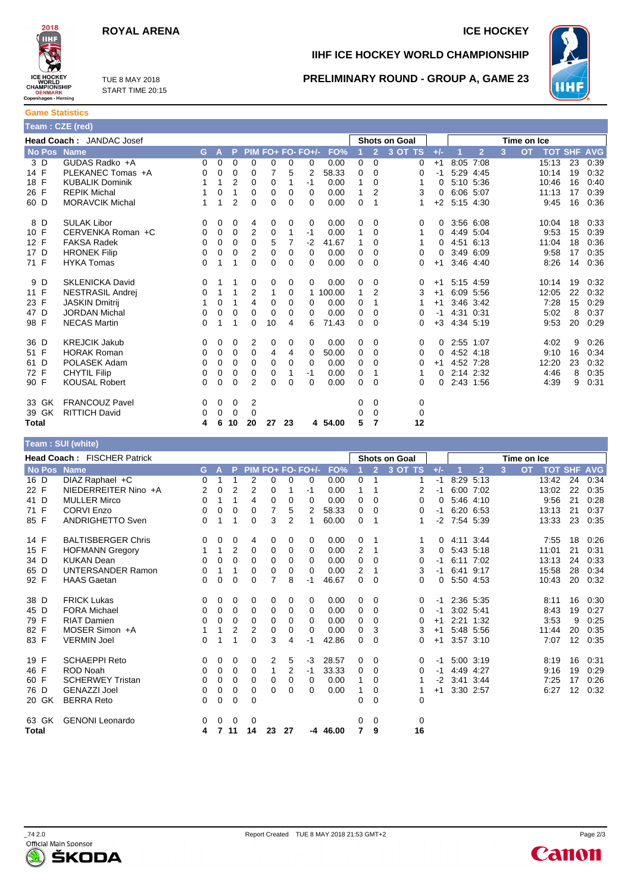## **ROYAL ARENA ICE HOCKEY**

TUE 8 MAY 2018 START TIME 20:15



# **IIHF ICE HOCKEY WORLD CHAMPIONSHIP**

**PRELIMINARY ROUND - GROUP A, GAME 23**



**Game Statistics**

| Team: CZE (red) |                          |          |             |                |             |    |    |                   |         |             |                |                      |                  |           |                |   |             |                |    |            |
|-----------------|--------------------------|----------|-------------|----------------|-------------|----|----|-------------------|---------|-------------|----------------|----------------------|------------------|-----------|----------------|---|-------------|----------------|----|------------|
|                 | Head Coach: JANDAC Josef |          |             |                |             |    |    |                   |         |             |                | <b>Shots on Goal</b> |                  |           |                |   | Time on Ice |                |    |            |
| No Pos Name     |                          | G.       | A           | P              |             |    |    | PIM FO+ FO- FO+/- | FO%     |             | $\overline{2}$ | 3 OT TS              | $+/-$            |           | $\overline{2}$ | 3 | <b>OT</b>   | <b>TOT SHF</b> |    | <b>AVG</b> |
| 3 D             | GUDAS Radko +A           | 0        | 0           | 0              | 0           | 0  | 0  | 0                 | 0.00    | 0           | 0              | 0                    | $+1$             | 8:05      | 7:08           |   |             | 15:13          | 23 | 0:39       |
| 14 F            | PLEKANEC Tomas +A        | 0        | 0           | 0              | 0           | 7  | 5  | 2                 | 58.33   | $\mathbf 0$ | $\Omega$       | 0                    | -1               | 5:29      | 4:45           |   |             | 10:14          | 19 | 0:32       |
| 18 F            | <b>KUBALIK Dominik</b>   |          | 1           | 2              | $\Omega$    | 0  |    | -1                | 0.00    | 1           | $\Omega$       | 1                    | 0                |           | 5:10 5:36      |   |             | 10:46          | 16 | 0:40       |
| 26 F            | <b>REPIK Michal</b>      | 1        | 0           | 1              | 0           | 0  | 0  | 0                 | 0.00    | 1           | 2              | 3                    | 0                | 6:06 5:07 |                |   |             | 11:13          | 17 | 0:39       |
| 60 D            | <b>MORAVCIK Michal</b>   | 1        | 1           | $\overline{2}$ | $\mathbf 0$ | 0  | 0  | 0                 | 0.00    | $\mathbf 0$ | 1              | 1                    | $+2$             | 5:15 4:30 |                |   |             | 9:45           | 16 | 0:36       |
| 8 D             | <b>SULAK Libor</b>       | 0        | 0           | 0              | 4           | 0  | 0  | 0                 | 0.00    | 0           | 0              | 0                    | 0                | 3:56 6:08 |                |   |             | 10:04          | 18 | 0:33       |
| 10 F            | CERVENKA Roman +C        | 0        | 0           | 0              | 2           | 0  | 1  | $-1$              | 0.00    | 1           | $\Omega$       | 1                    | 0                | 4:49 5:04 |                |   |             | 9:53           | 15 | 0:39       |
| 12 F            | <b>FAKSA Radek</b>       | $\Omega$ | 0           | 0              | 0           | 5  | 7  | $-2$              | 41.67   | 1           | $\Omega$       | 1                    | 0                | 4:51      | 6:13           |   |             | 11:04          | 18 | 0:36       |
| 17 D            | <b>HRONEK Filip</b>      | 0        | $\mathbf 0$ | 0              | 2           | 0  | 0  | 0                 | 0.00    | 0           | $\Omega$       | 0                    | 0                | 3:49 6:09 |                |   |             | 9:58           | 17 | 0:35       |
| 71 F            | <b>HYKA Tomas</b>        | $\Omega$ | 1           |                | 0           | 0  | 0  | 0                 | 0.00    | $\Omega$    | $\Omega$       | 0                    | $+1$             |           | 3:46 4:40      |   |             | 8:26           | 14 | 0:36       |
| 9 D             | <b>SKLENICKA David</b>   | 0        |             | 1              | 0           | 0  | 0  | 0                 | 0.00    | 0           | 0              | 0                    | $+1$             | 5:15 4:59 |                |   |             | 10:14          | 19 | 0:32       |
| 11 F            | <b>NESTRASIL Andrei</b>  | 0        | 1           |                | 2           | 1  | 0  | 1.                | 100.00  | 1           | 2              | 3                    | $+1$             | 6:09 5:56 |                |   |             | 12:05          | 22 | 0:32       |
| 23 F            | <b>JASKIN Dmitrij</b>    | 1        | $\Omega$    | 1              | 4           | 0  | 0  | 0                 | 0.00    | 0           | 1              | 1                    | $+1$             | 3:46 3:42 |                |   |             | 7:28           | 15 | 0:29       |
| 47 D            | <b>JORDAN Michal</b>     | 0        | $\mathbf 0$ | 0              | 0           | 0  | 0  | $\Omega$          | 0.00    | 0           | 0              | 0                    | -1               | 4:31 0:31 |                |   |             | 5:02           | 8  | 0:37       |
| 98 F            | <b>NECAS Martin</b>      | $\Omega$ | 1           | 1              | 0           | 10 | 4  | 6                 | 71.43   | $\Omega$    | $\Omega$       | 0                    | $+3$             | 4:34 5:19 |                |   |             | 9.53           | 20 | 0:29       |
| 36 D            | <b>KREJCIK Jakub</b>     | 0        | 0           | 0              | 2           | 0  | 0  | 0                 | 0.00    | 0           | 0              | 0                    | 0                | 2:55 1:07 |                |   |             | 4:02           | 9  | 0:26       |
| 51 F            | <b>HORAK Roman</b>       | 0        | 0           | 0              | 0           | 4  | 4  | 0                 | 50.00   | 0           | 0              | 0                    | 0                | 4:52 4:18 |                |   |             | 9:10           | 16 | 0:34       |
| 61 D            | POLASEK Adam             | 0        | 0           | 0              | 0           | 0  | 0  | 0                 | 0.00    | 0           | $\Omega$       | 0                    | $^{\mathrm{+1}}$ | 4:52 7:28 |                |   |             | 12:20          | 23 | 0:32       |
| 72 F            | <b>CHYTIL Filip</b>      | $\Omega$ | 0           | 0              | 0           | 0  |    | $-1$              | 0.00    | 0           | 1              | 1                    | 0                | 2:14 2:32 |                |   |             | 4:46           | 8  | 0:35       |
| 90 F            | <b>KOUSAL Robert</b>     | 0        | $\mathbf 0$ | 0              | 2           | 0  | 0  | 0                 | 0.00    | 0           | 0              | 0                    | $\Omega$         | 2:43 1:56 |                |   |             | 4:39           | 9  | 0:31       |
| 33 GK           | <b>FRANCOUZ Pavel</b>    | 0        | 0           | 0              | 2           |    |    |                   |         | 0           | 0              | 0                    |                  |           |                |   |             |                |    |            |
| 39 GK           | <b>RITTICH David</b>     | 0        | 0           | 0              | 0           |    |    |                   |         | 0           | $\mathbf 0$    | 0                    |                  |           |                |   |             |                |    |            |
| Total           |                          | 4        | 6           | 10             | 20          | 27 | 23 |                   | 4 54.00 | 5           | 7              | 12                   |                  |           |                |   |             |                |    |            |

#### **Team : SUI (white) Head Coach :** FISCHER Patrick **Shots on Goal | Time on Ice**<br>No Bes, Name, No Bes, Name, Name, Name, Name, Name, Name, Name, Name, Name, Name, Name, Name, Name, Name, Name, N No Pos Name G A P PIM FO+ FO- FO+/- FO% 1 2 3 OT TS +/- 1 2 3 OT TOT SHF AVG 16 D DIAZ Raphael +C 0 1 1 2 0 0 0 0.00 0 1 1 -1 8:29 5:13 13:42 24 0:34 22 F NIEDERREITER Nino +A 2 0 2 2 0 1 -1 0.00 1 1 2 -1 6:00 7:02 13:02 22 0:35 41 D MULLER Mirco 0 1 1 4 0 0 0 0.00 0 0 0 0 5:46 4:10 9:56 21 0:28 71 F CORVI Enzo 0 0 0 0 7 5 2 58.33 0 0 0 -1 6:20 6:53 13:13 21 0:37 85 F ANDRIGHETTO Sven 0 1 1 0 3 2 1 60.00 0 1 1 -2 7:54 5:39 13:33 23 0:35 14 F BALTISBERGER Chris 0 0 0 4 0 0 0 0.00 0 1 1 0 4:11 3:44 7:55 18 0:26 15 F HOFMANN Gregory 1 1 2 0 0 0 0 0.00 2 1 3 0 5:43 5:18 11:01 21 0:31 34 D KUKAN Dean 0 0 0 0 0 0 0 0.00 0 0 0 -1 6:11 7:02 13:13 24 0:33 65 D UNTERSANDER Ramon 0 1 1 0 0 0 0 0.00 2 1 3 -1 6:41 9:17 15:58 28 0:34 92 F HAAS Gaetan 0 0 0 0 7 8 -1 46.67 0 0 0 0 5:50 4:53 10:43 20 0:32 38 D FRICK Lukas 0 0 0 0 0 0 0 0.00 0 0 0 -1 2:36 5:35 8:11 16 0:30 45 D FORA Michael 0 0 0 0 0 0 0 0.00 0 0 0 -1 3:02 5:41 8:43 19 0:27 79 F RIAT Damien 0 0 0 0 0 0 0 0.00 0 0 0 +1 2:21 1:32 3:53 9 0:25 82 F MOSER Simon +A 1 1 2 2 0 0 0 0.00 0 3 3 +1 5:48 5:56 11:44 20 0:35<br>83 F VERMIN Joel 0 1 1 0 3 4 -1 42.86 0 0 0 0 +1 3:57 3:10 7:07 12 0:35 83 F VERMIN Joel 0 1 1 0 3 4 -1 42.86 0 0 0 +1 3:57 3:10 7:07 12 0:35 19 F SCHAEPPI Reto 0 0 0 0 2 5 -3 28.57 0 0 0 -1 5:00 3:19 8:19 16 0:31 46 F ROD Noah 0 0 0 0 1 2 -1 33.33 0 0 0 -1 4:49 4:27 9:16 19 0:29 60 F SCHERWEY Tristan 0 0 0 0 0 0 0 0.00 1 0 1 -2 3:41 3:44 7:25 17 0:26 76 D GENAZZI Joel 0 0 0 0 0 0 0 0.00 1 0 1 +1 3:30 2:57 6:27 12 0:32 20 GK BERRA Reto 0 0 0 0 0 0 0 63 GK GENONI Leonardo 0 0 0 0 0 0 0 **Total 4 7 11 14 23 27 -4 46.00 7 9 16**